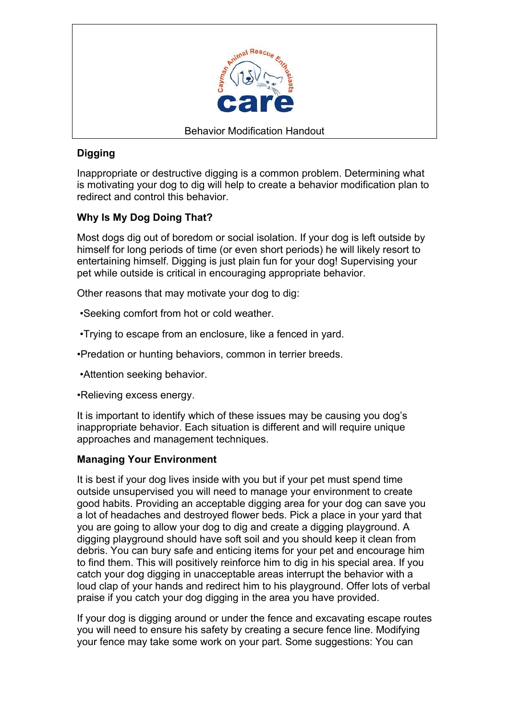

# **Digging**

Inappropriate or destructive digging is a common problem. Determining what is motivating your dog to dig will help to create a behavior modification plan to redirect and control this behavior.

# **Why Is My Dog Doing That?**

Most dogs dig out of boredom or social isolation. If your dog is left outside by himself for long periods of time (or even short periods) he will likely resort to entertaining himself. Digging is just plain fun for your dog! Supervising your pet while outside is critical in encouraging appropriate behavior.

Other reasons that may motivate your dog to dig:

•Seeking comfort from hot or cold weather.

•Trying to escape from an enclosure, like a fenced in yard.

•Predation or hunting behaviors, common in terrier breeds.

•Attention seeking behavior.

•Relieving excess energy.

It is important to identify which of these issues may be causing you dog's inappropriate behavior. Each situation is different and will require unique approaches and management techniques.

### **Managing Your Environment**

It is best if your dog lives inside with you but if your pet must spend time outside unsupervised you will need to manage your environment to create good habits. Providing an acceptable digging area for your dog can save you a lot of headaches and destroyed flower beds. Pick a place in your yard that you are going to allow your dog to dig and create a digging playground. A digging playground should have soft soil and you should keep it clean from debris. You can bury safe and enticing items for your pet and encourage him to find them. This will positively reinforce him to dig in his special area. If you catch your dog digging in unacceptable areas interrupt the behavior with a loud clap of your hands and redirect him to his playground. Offer lots of verbal praise if you catch your dog digging in the area you have provided.

If your dog is digging around or under the fence and excavating escape routes you will need to ensure his safety by creating a secure fence line. Modifying your fence may take some work on your part. Some suggestions: You can